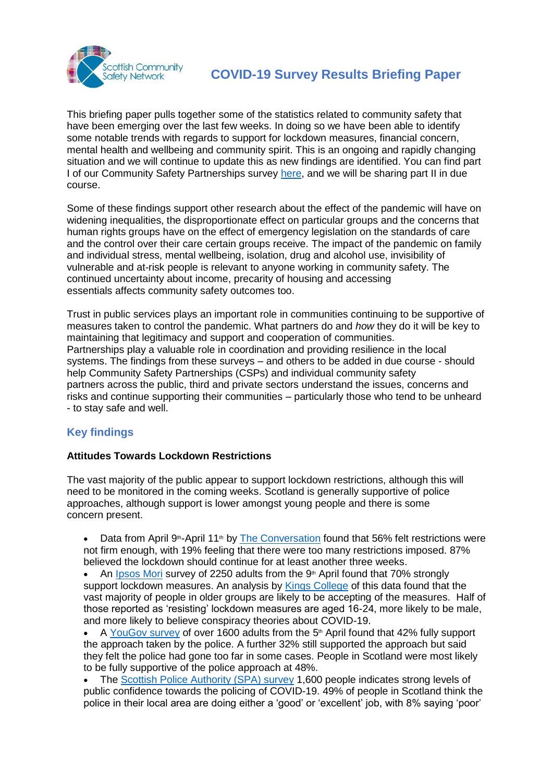

This briefing paper pulls together some of the statistics related to community safety that have been emerging over the last few weeks. In doing so we have been able to identify some notable trends with regards to support for lockdown measures, financial concern, mental health and wellbeing and community spirit. This is an ongoing and rapidly changing situation and we will continue to update this as new findings are identified. You can find part I of our Community Safety Partnerships survey [here,](https://www.safercommunitiesscotland.org/2020/04/16/preliminary-report-of-covid-19-community-safety-partnerships-survey/) and we will be sharing part II in due course.

Some of these findings support other research about the effect of the pandemic will have on widening inequalities, the disproportionate effect on particular groups and the concerns that human rights groups have on the effect of emergency legislation on the standards of care and the control over their care certain groups receive. The impact of the pandemic on family and individual stress, mental wellbeing, isolation, drug and alcohol use, invisibility of vulnerable and at-risk people is relevant to anyone working in community safety. The continued uncertainty about income, precarity of housing and accessing essentials affects community safety outcomes too.

Trust in public services plays an important role in communities continuing to be supportive of measures taken to control the pandemic. What partners do and *how* they do it will be key to maintaining that legitimacy and support and cooperation of communities. Partnerships play a valuable role in coordination and providing resilience in the local systems. The findings from these surveys – and others to be added in due course - should help Community Safety Partnerships (CSPs) and individual community safety partners across the public, third and private sectors understand the issues, concerns and risks and continue supporting their communities – particularly those who tend to be unheard - to stay safe and well.

# **Key findings**

# **Attitudes Towards Lockdown Restrictions**

The vast majority of the public appear to support lockdown restrictions, although this will need to be monitored in the coming weeks. Scotland is generally supportive of police approaches, although support is lower amongst young people and there is some concern present.

- Data from April 9<sup>th</sup>-April 11<sup>th</sup> by [The Conversation](https://theconversation.com/coronavirus-new-survey-suggests-uk-public-supports-a-long-lockdown-136767) found that 56% felt restrictions were not firm enough, with 19% feeling that there were too many restrictions imposed. 87% believed the lockdown should continue for at least another three weeks.
- An [Ipsos Mori](https://www.ipsos.com/ipsos-mori/en-uk/life-under-lockdown-coronavirus-uk) survey of 2250 adults from the  $9<sup>th</sup>$  April found that 70% strongly support lockdown measures. An analysis by [Kings College](https://www.kcl.ac.uk/news/the-three-groups-reacting-to-life-under-lockdown) of this data found that the vast majority of people in older groups are likely to be accepting of the measures. Half of those reported as 'resisting' lockdown measures are aged 16-24, more likely to be male, and more likely to believe conspiracy theories about COVID-19.
- A [YouGov survey](https://news.sky.com/story/coronavirus-third-of-britons-think-police-have-gone-too-far-in-enforcing-lockdown-11970244) of over 1600 adults from the 5<sup>th</sup> April found that 42% fully support the approach taken by the police. A further 32% still supported the approach but said they felt the police had gone too far in some cases. People in Scotland were most likely to be fully supportive of the police approach at 48%.
- The [Scottish Police Authority \(SPA\) survey](http://www.spa.police.uk/news/618708/) 1,600 people indicates strong levels of public confidence towards the policing of COVID-19. 49% of people in Scotland think the police in their local area are doing either a 'good' or 'excellent' job, with 8% saying 'poor'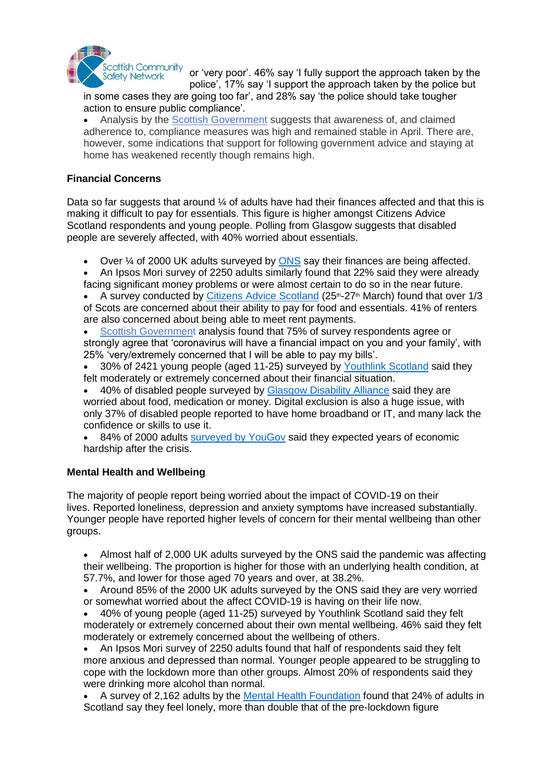

or 'very poor'. 46% say 'I fully support the approach taken by the police', 17% say 'I support the approach taken by the police but

in some cases they are going too far', and 28% say 'the police should take tougher action to ensure public compliance'.

 Analysis by the [Scottish Government](https://www.gov.scot/publications/public-attitudes-coronavirus-april-summary/pages/1/) suggests that awareness of, and claimed adherence to, compliance measures was high and remained stable in April. There are, however, some indications that support for following government advice and staying at home has weakened recently though remains high.

# **Financial Concerns**

Data so far suggests that around  $\frac{1}{4}$  of adults have had their finances affected and that this is making it difficult to pay for essentials. This figure is higher amongst Citizens Advice Scotland respondents and young people. Polling from Glasgow suggests that disabled people are severely affected, with 40% worried about essentials.

- Over  $\frac{1}{4}$  of 2000 UK adults surveyed by  $\overline{ONS}$  $\overline{ONS}$  $\overline{ONS}$  say their finances are being affected.
- An Ipsos Mori survey of 2250 adults similarly found that 22% said they were already facing significant money problems or were almost certain to do so in the near future.
- A survey conducted by [Citizens Advice Scotland](https://www.cas.org.uk/news/scotland-facing-cost-living-crisis-amid-covid-19-pandemic) (25<sup>th</sup>-27<sup>th</sup> March) found that over 1/3 of Scots are concerned about their ability to pay for food and essentials. 41% of renters are also concerned about being able to meet rent payments.
- [Scottish Government](https://www.gov.scot/publications/public-attitudes-coronavirus-april-summary/pages/1/) analysis found that 75% of survey respondents agree or strongly agree that 'coronavirus will have a financial impact on you and your family', with 25% 'very/extremely concerned that I will be able to pay my bills'.
- 30% of 2421 young people (aged 11-25) surveyed by [Youthlink](https://www.youthlinkscotland.org/media/4486/lockdown-lowdown-final-report.pdf) Scotland said they felt moderately or extremely concerned about their financial situation.
- 40% of disabled people surveyed by [Glasgow Disability Alliance](http://gda.scot/our-community/news/2020/4/28/covid-19-supercharges-existing-inequalities-faced-by-glasgows-150-000-disabled-people) said they are worried about food, medication or money. Digital exclusion is also a huge issue, with only 37% of disabled people reported to have home broadband or IT, and many lack the confidence or skills to use it.
- 84% of 2000 adults [surveyed by YouGov](https://www.standard.co.uk/news/uk/brits-back-coronavirus-lockdown-new-poll-a4413576.html) said they expected years of economic hardship after the crisis.

# **Mental Health and Wellbeing**

The majority of people report being worried about the impact of COVID-19 on their lives. Reported loneliness, depression and anxiety symptoms have increased substantially. Younger people have reported higher levels of concern for their mental wellbeing than other groups.

 Almost half of 2,000 UK adults surveyed by the ONS said the pandemic was affecting their wellbeing. The proportion is higher for those with an underlying health condition, at 57.7%, and lower for those aged 70 years and over, at 38.2%.

- Around 85% of the 2000 UK adults surveyed by the ONS said they are very worried or somewhat worried about the affect COVID-19 is having on their life now.
- 40% of young people (aged 11-25) surveyed by Youthlink Scotland said they felt moderately or extremely concerned about their own mental wellbeing. 46% said they felt moderately or extremely concerned about the wellbeing of others.
- An Ipsos Mori survey of 2250 adults found that half of respondents said they felt more anxious and depressed than normal. Younger people appeared to be struggling to cope with the lockdown more than other groups. Almost 20% of respondents said they were drinking more alcohol than normal.
- A survey of 2,162 adults by the [Mental Health Foundation](https://www.mentalhealth.org.uk/coronavirus/coping-with-loneliness) found that 24% of adults in Scotland say they feel lonely, more than double that of the pre-lockdown figure